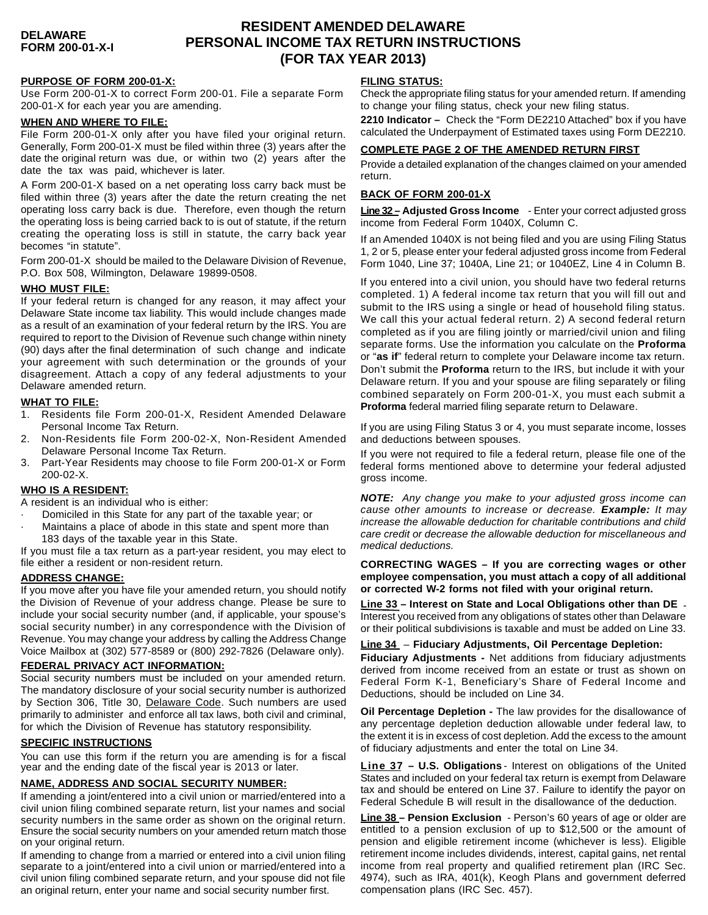# **RESIDENT AMENDED DELAWARE PERSONAL INCOME TAX RETURN INSTRUCTIONS (FOR TAX YEAR 2013)**

### **PURPOSE OF FORM 200-01-X:**

Use Form 200-01-X to correct Form 200-01. File a separate Form 200-01-X for each year you are amending.

### **WHEN AND WHERE TO FILE:**

File Form 200-01-X only after you have filed your original return. Generally, Form 200-01-X must be filed within three (3) years after the date the original return was due, or within two (2) years after the date the tax was paid, whichever is later.

A Form 200-01-X based on a net operating loss carry back must be filed within three (3) years after the date the return creating the net operating loss carry back is due. Therefore, even though the return the operating loss is being carried back to is out of statute, if the return creating the operating loss is still in statute, the carry back year becomes "in statute".

Form 200-01-X should be mailed to the Delaware Division of Revenue, P.O. Box 508, Wilmington, Delaware 19899-0508.

### **WHO MUST FILE:**

If your federal return is changed for any reason, it may affect your Delaware State income tax liability. This would include changes made as a result of an examination of your federal return by the IRS. You are required to report to the Division of Revenue such change within ninety (90) days after the final determination of such change and indicate your agreement with such determination or the grounds of your disagreement. Attach a copy of any federal adjustments to your Delaware amended return.

#### **WHAT TO FILE:**

- 1. Residents file Form 200-01-X, Resident Amended Delaware Personal Income Tax Return.
- 2. Non-Residents file Form 200-02-X, Non-Resident Amended Delaware Personal Income Tax Return.
- 3. Part-Year Residents may choose to file Form 200-01-X or Form 200-02-X.

### **WHO IS A RESIDENT:**

A resident is an individual who is either:

- Domiciled in this State for any part of the taxable year; or
- Maintains a place of abode in this state and spent more than 183 days of the taxable year in this State.

If you must file a tax return as a part-year resident, you may elect to file either a resident or non-resident return.

### **ADDRESS CHANGE:**

If you move after you have file your amended return, you should notify the Division of Revenue of your address change. Please be sure to include your social security number (and, if applicable, your spouse's social security number) in any correspondence with the Division of Revenue. You may change your address by calling the Address Change Voice Mailbox at (302) 577-8589 or (800) 292-7826 (Delaware only).

### **FEDERAL PRIVACY ACT INFORMATION:**

Social security numbers must be included on your amended return. The mandatory disclosure of your social security number is authorized by Section 306, Title 30, Delaware Code. Such numbers are used primarily to administer and enforce all tax laws, both civil and criminal, for which the Division of Revenue has statutory responsibility.

### **SPECIFIC INSTRUCTIONS**

You can use this form if the return you are amending is for a fiscal year and the ending date of the fiscal year is 2013 or later.

### **NAME, ADDRESS AND SOCIAL SECURITY NUMBER:**

If amending a joint/entered into a civil union or married/entered into a civil union filing combined separate return, list your names and social security numbers in the same order as shown on the original return. Ensure the social security numbers on your amended return match those on your original return.

If amending to change from a married or entered into a civil union filing separate to a joint/entered into a civil union or married/entered into a civil union filing combined separate return, and your spouse did not file an original return, enter your name and social security number first.

### **FILING STATUS:**

Check the appropriate filing status for your amended return. If amending to change your filing status, check your new filing status.

**2210 Indicator –** Check the "Form DE2210 Attached" box if you have calculated the Underpayment of Estimated taxes using Form DE2210.

#### **COMPLETE PAGE 2 OF THE AMENDED RETURN FIRST**

Provide a detailed explanation of the changes claimed on your amended return.

### **BACK OF FORM 200-01-X**

**Line 32 – Adjusted Gross Income** - Enter your correct adjusted gross income from Federal Form 1040X, Column C.

If an Amended 1040X is not being filed and you are using Filing Status 1, 2 or 5, please enter your federal adjusted gross income from Federal Form 1040, Line 37; 1040A, Line 21; or 1040EZ, Line 4 in Column B.

If you entered into a civil union, you should have two federal returns completed. 1) A federal income tax return that you will fill out and submit to the IRS using a single or head of household filing status. We call this your actual federal return. 2) A second federal return completed as if you are filing jointly or married/civil union and filing separate forms. Use the information you calculate on the **Proforma** or "**as if**" federal return to complete your Delaware income tax return. Don't submit the **Proforma** return to the IRS, but include it with your Delaware return. If you and your spouse are filing separately or filing combined separately on Form 200-01-X, you must each submit a **Proforma** federal married filing separate return to Delaware.

If you are using Filing Status 3 or 4, you must separate income, losses and deductions between spouses.

If you were not required to file a federal return, please file one of the federal forms mentioned above to determine your federal adjusted gross income.

*NOTE: Any change you make to your adjusted gross income can cause other amounts to increase or decrease. Example: It may increase the allowable deduction for charitable contributions and child care credit or decrease the allowable deduction for miscellaneous and medical deductions.*

**CORRECTING WAGES – If you are correcting wages or other employee compensation, you must attach a copy of all additional or corrected W-2 forms not filed with your original return.**

**Line 33 – Interest on State and Local Obligations other than DE** - Interest you received from any obligations of states other than Delaware or their political subdivisions is taxable and must be added on Line 33.

**Line 34** – **Fiduciary Adjustments, Oil Percentage Depletion: Fiduciary Adjustments -** Net additions from fiduciary adjustments derived from income received from an estate or trust as shown on Federal Form K-1, Beneficiary's Share of Federal Income and Deductions, should be included on Line 34.

**Oil Percentage Depletion -** The law provides for the disallowance of any percentage depletion deduction allowable under federal law, to the extent it is in excess of cost depletion. Add the excess to the amount of fiduciary adjustments and enter the total on Line 34.

**Line 37 – U.S. Obligations** - Interest on obligations of the United States and included on your federal tax return is exempt from Delaware tax and should be entered on Line 37. Failure to identify the payor on Federal Schedule B will result in the disallowance of the deduction.

**Line 38 – Pension Exclusion** - Person's 60 years of age or older are entitled to a pension exclusion of up to \$12,500 or the amount of pension and eligible retirement income (whichever is less). Eligible retirement income includes dividends, interest, capital gains, net rental income from real property and qualified retirement plan (IRC Sec. 4974), such as IRA, 401(k), Keogh Plans and government deferred compensation plans (IRC Sec. 457).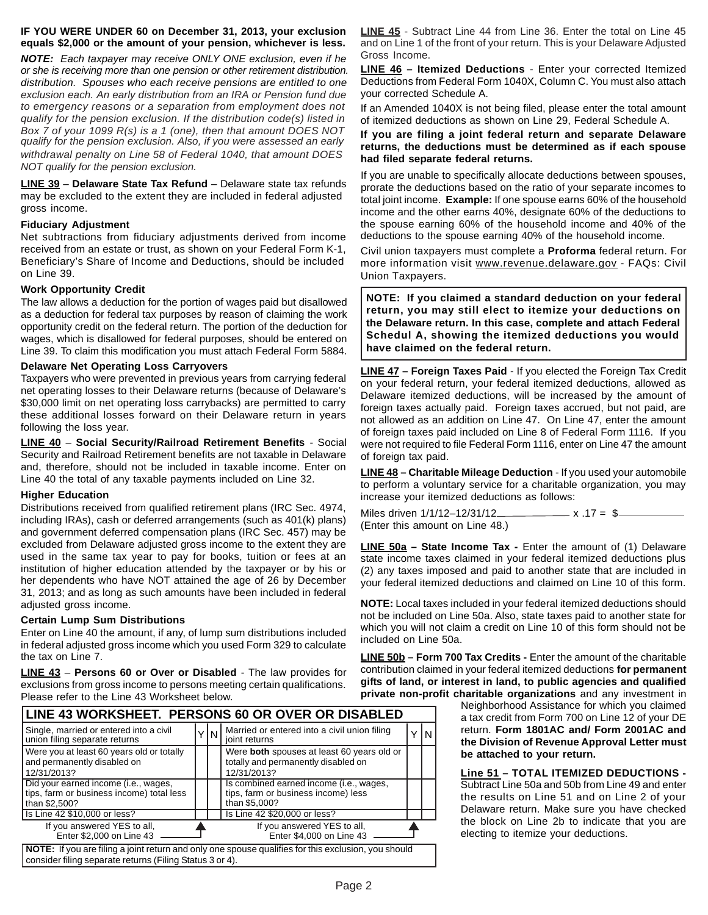### **IF YOU WERE UNDER 60 on December 31, 2013, your exclusion equals \$2,000 or the amount of your pension, whichever is less.**

*NOTE: Each taxpayer may receive ONLY ONE exclusion, even if he or she is receiving more than one pension or other retirement distribution. distribution. Spouses who each receive pensions are entitled to one exclusion each. An early distribution from an IRA or Pension fund due to emergency reasons or a separation from employment does not qualify for the pension exclusion. If the distribution code(s) listed in Box 7 of your 1099 R(s) is a 1 (one), then that amount DOES NOT qualify for the pension exclusion. Also, if you were assessed an early withdrawal penalty on Line 58 of Federal 1040, that amount DOES NOT qualify for the pension exclusion.*

**LINE 39** – **Delaware State Tax Refund** – Delaware state tax refunds may be excluded to the extent they are included in federal adjusted gross income.

### **Fiduciary Adjustment**

Net subtractions from fiduciary adjustments derived from income received from an estate or trust, as shown on your Federal Form K-1, Beneficiary's Share of Income and Deductions, should be included on Line 39.

### **Work Opportunity Credit**

The law allows a deduction for the portion of wages paid but disallowed as a deduction for federal tax purposes by reason of claiming the work opportunity credit on the federal return. The portion of the deduction for wages, which is disallowed for federal purposes, should be entered on Line 39. To claim this modification you must attach Federal Form 5884.

### **Delaware Net Operating Loss Carryovers**

Taxpayers who were prevented in previous years from carrying federal net operating losses to their Delaware returns (because of Delaware's \$30,000 limit on net operating loss carrybacks) are permitted to carry these additional losses forward on their Delaware return in years following the loss year.

**LINE 40** – **Social Security/Railroad Retirement Benefits** - Social Security and Railroad Retirement benefits are not taxable in Delaware and, therefore, should not be included in taxable income. Enter on Line 40 the total of any taxable payments included on Line 32.

### **Higher Education**

Distributions received from qualified retirement plans (IRC Sec. 4974, including IRAs), cash or deferred arrangements (such as 401(k) plans) and government deferred compensation plans (IRC Sec. 457) may be excluded from Delaware adjusted gross income to the extent they are used in the same tax year to pay for books, tuition or fees at an institution of higher education attended by the taxpayer or by his or her dependents who have NOT attained the age of 26 by December 31, 2013; and as long as such amounts have been included in federal adjusted gross income.

### **Certain Lump Sum Distributions**

Enter on Line 40 the amount, if any, of lump sum distributions included in federal adjusted gross income which you used Form 329 to calculate the tax on Line 7.

**LINE 43** – **Persons 60 or Over or Disabled** - The law provides for exclusions from gross income to persons meeting certain qualifications. Please refer to the Line 43 Worksheet below.

|                                                                                                                    |  |     | LINE 43 WORKSHEET. PERSONS 60 OR OVER OR DISABLED                                                   |  |   |
|--------------------------------------------------------------------------------------------------------------------|--|-----|-----------------------------------------------------------------------------------------------------|--|---|
| Single, married or entered into a civil<br>union filing separate returns                                           |  | 'IΝ | Married or entered into a civil union filing<br>joint returns                                       |  | N |
| Were you at least 60 years old or totally<br>and permanently disabled on<br>12/31/2013?                            |  |     | Were both spouses at least 60 years old or<br>totally and permanently disabled on<br>12/31/2013?    |  |   |
| Did your earned income (i.e., wages,<br>tips, farm or business income) total less<br>than \$2,500?                 |  |     | Is combined earned income (i.e., wages,<br>tips, farm or business income) less<br>than \$5,000?     |  |   |
| Is Line 42 \$10,000 or less?                                                                                       |  |     | Is Line 42 \$20,000 or less?                                                                        |  |   |
| If you answered YES to all,<br>If you answered YES to all,<br>Enter \$2,000 on Line 43<br>Enter \$4,000 on Line 43 |  |     |                                                                                                     |  |   |
| consider filing separate returns (Filing Status 3 or 4).                                                           |  |     | NOTE: If you are filing a joint return and only one spouse qualifies for this exclusion, you should |  |   |

**LINE 45** - Subtract Line 44 from Line 36. Enter the total on Line 45 and on Line 1 of the front of your return. This is your Delaware Adjusted Gross Income.

**LINE 46 – Itemized Deductions** - Enter your corrected Itemized Deductions from Federal Form 1040X, Column C. You must also attach your corrected Schedule A.

If an Amended 1040X is not being filed, please enter the total amount of itemized deductions as shown on Line 29, Federal Schedule A.

#### **If you are filing a joint federal return and separate Delaware returns, the deductions must be determined as if each spouse had filed separate federal returns.**

If you are unable to specifically allocate deductions between spouses, prorate the deductions based on the ratio of your separate incomes to total joint income. **Example:** If one spouse earns 60% of the household income and the other earns 40%, designate 60% of the deductions to the spouse earning 60% of the household income and 40% of the deductions to the spouse earning 40% of the household income.

Civil union taxpayers must complete a **Proforma** federal return. For more information visit www.revenue.delaware.gov - FAQs: Civil Union Taxpayers.

**NOTE: If you claimed a standard deduction on your federal return, you may still elect to itemize your deductions on the Delaware return. In this case, complete and attach Federal Schedul A, showing the itemized deductions you would have claimed on the federal return.**

**LINE 47 – Foreign Taxes Paid** - If you elected the Foreign Tax Credit on your federal return, your federal itemized deductions, allowed as Delaware itemized deductions, will be increased by the amount of foreign taxes actually paid. Foreign taxes accrued, but not paid, are not allowed as an addition on Line 47. On Line 47, enter the amount of foreign taxes paid included on Line 8 of Federal Form 1116. If you were not required to file Federal Form 1116, enter on Line 47 the amount of foreign tax paid.

**LINE 48 – Charitable Mileage Deduction** - If you used your automobile to perform a voluntary service for a charitable organization, you may increase your itemized deductions as follows:

Miles driven  $1/1/12 - 12/31/12$  x .17 = \$ (Enter this amount on Line 48.)

**LINE 50a – State Income Tax -** Enter the amount of (1) Delaware state income taxes claimed in your federal itemized deductions plus (2) any taxes imposed and paid to another state that are included in your federal itemized deductions and claimed on Line 10 of this form.

**NOTE:** Local taxes included in your federal itemized deductions should not be included on Line 50a. Also, state taxes paid to another state for which you will not claim a credit on Line 10 of this form should not be included on Line 50a.

**LINE 50b – Form 700 Tax Credits -** Enter the amount of the charitable contribution claimed in your federal itemized deductions **for permanent gifts of land, or interest in land, to public agencies and qualified private non-profit charitable organizations** and any investment in

> Neighborhood Assistance for which you claimed a tax credit from Form 700 on Line 12 of your DE return. **Form 1801AC and/ Form 2001AC and the Division of Revenue Approval Letter must be attached to your return.**

#### **Line 51 – TOTAL ITEMIZED DEDUCTIONS -** Subtract Line 50a and 50b from Line 49 and enter the results on Line 51 and on Line 2 of your Delaware return. Make sure you have checked the block on Line 2b to indicate that you are electing to itemize your deductions.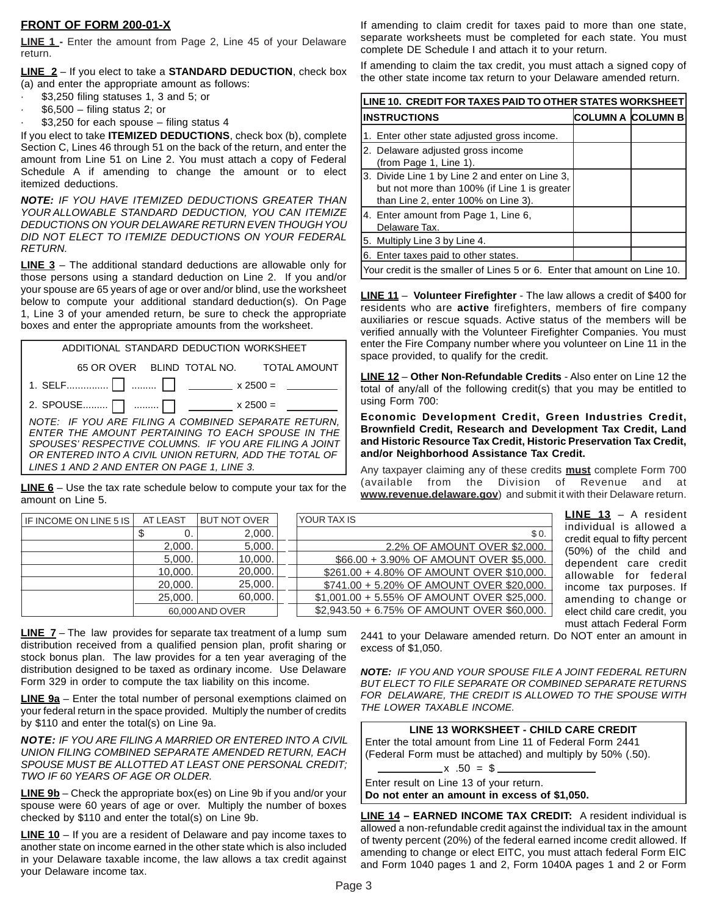### **FRONT OF FORM 200-01-X**

**LINE 1 -** Enter the amount from Page 2, Line 45 of your Delaware return.

**LINE 2** – If you elect to take a **STANDARD DEDUCTION**, check box (a) and enter the appropriate amount as follows:

- · \$3,250 filing statuses 1, 3 and 5; or
- $$6,500 filing status 2; or$
- · \$3,250 for each spouse filing status 4

If you elect to take **ITEMIZED DEDUCTIONS**, check box (b), complete Section C, Lines 46 through 51 on the back of the return, and enter the amount from Line 51 on Line 2. You must attach a copy of Federal Schedule A if amending to change the amount or to elect itemized deductions.

*NOTE: IF YOU HAVE ITEMIZED DEDUCTIONS GREATER THAN YOUR ALLOWABLE STANDARD DEDUCTION, YOU CAN ITEMIZE DEDUCTIONS ON YOUR DELAWARE RETURN EVEN THOUGH YOU DID NOT ELECT TO ITEMIZE DEDUCTIONS ON YOUR FEDERAL RETURN.*

**LINE 3** – The additional standard deductions are allowable only for those persons using a standard deduction on Line 2. If you and/or your spouse are 65 years of age or over and/or blind, use the worksheet below to compute your additional standard deduction(s). On Page 1, Line 3 of your amended return, be sure to check the appropriate boxes and enter the appropriate amounts from the worksheet.

| ADDITIONAL STANDARD DEDUCTION WORKSHEET                                                                                                                                                                                                                                    |
|----------------------------------------------------------------------------------------------------------------------------------------------------------------------------------------------------------------------------------------------------------------------------|
| 65 OR OVER BLIND TOTAL NO. TOTAL AMOUNT                                                                                                                                                                                                                                    |
|                                                                                                                                                                                                                                                                            |
| 2. SPOUSE $\Box$ $\Box$ ___________ x 2500 = _                                                                                                                                                                                                                             |
| NOTE: IF YOU ARE FILING A COMBINED SEPARATE RETURN,<br>ENTER THE AMOUNT PERTAINING TO EACH SPOUSE IN THE<br>SPOUSES' RESPECTIVE COLUMNS. IF YOU ARE FILING A JOINT<br>OR ENTERED INTO A CIVIL UNION RETURN, ADD THE TOTAL OF<br>LINES 1 AND 2 AND ENTER ON PAGE 1, LINE 3. |
|                                                                                                                                                                                                                                                                            |

**LINE 6** – Use the tax rate schedule below to compute your tax for the amount on Line 5.

If amending to claim credit for taxes paid to more than one state, separate worksheets must be completed for each state. You must complete DE Schedule I and attach it to your return.

If amending to claim the tax credit, you must attach a signed copy of the other state income tax return to your Delaware amended return.

| LINE 10. CREDIT FOR TAXES PAID TO OTHER STATES WORKSHEET                                                                               |                   |  |  |  |
|----------------------------------------------------------------------------------------------------------------------------------------|-------------------|--|--|--|
| <b>INSTRUCTIONS</b>                                                                                                                    | COLUMN A COLUMN B |  |  |  |
| 1. Enter other state adjusted gross income.                                                                                            |                   |  |  |  |
| 2. Delaware adjusted gross income<br>(from Page 1, Line 1).                                                                            |                   |  |  |  |
| 3. Divide Line 1 by Line 2 and enter on Line 3,<br>but not more than 100% (if Line 1 is greater<br>than Line 2, enter 100% on Line 3). |                   |  |  |  |
| 4. Enter amount from Page 1, Line 6,<br>Delaware Tax.                                                                                  |                   |  |  |  |
| 5. Multiply Line 3 by Line 4.                                                                                                          |                   |  |  |  |
| 6. Enter taxes paid to other states.                                                                                                   |                   |  |  |  |
| Your credit is the smaller of Lines 5 or 6. Enter that amount on Line 10.                                                              |                   |  |  |  |

**LINE 11** – **Volunteer Firefighter** - The law allows a credit of \$400 for residents who are **active** firefighters, members of fire company auxiliaries or rescue squads. Active status of the members will be verified annually with the Volunteer Firefighter Companies. You must enter the Fire Company number where you volunteer on Line 11 in the space provided, to qualify for the credit.

**LINE 12** – **Other Non-Refundable Credits** - Also enter on Line 12 the total of any/all of the following credit(s) that you may be entitled to using Form 700:

### **Economic Development Credit, Green Industries Credit, Brownfield Credit, Research and Development Tax Credit, Land and Historic Resource Tax Credit, Historic Preservation Tax Credit, and/or Neighborhood Assistance Tax Credit.**

Any taxpayer claiming any of these credits **must** complete Form 700 (available from the Division of Revenue and at **www.revenue.delaware.gov**) and submit it with their Delaware return.

| IF INCOME ON LINE 5 IS | AT LEAST | <b>BUT NOT OVER</b>                         | YOUR TAX IS                                 |
|------------------------|----------|---------------------------------------------|---------------------------------------------|
|                        | 0.<br>Φ  | 2,000.                                      | \$0.                                        |
|                        | 2,000.   | 5,000.                                      | 2.2% OF AMOUNT OVER \$2,000.                |
|                        | 5,000.   | 10,000.                                     | \$66.00 + 3.90% OF AMOUNT OVER \$5,000.     |
|                        | 10,000.  | 20,000.                                     | \$261.00 + 4.80% OF AMOUNT OVER \$10,000.   |
|                        | 20,000.  | 25,000.                                     | \$741.00 + 5.20% OF AMOUNT OVER \$20,000.   |
|                        | 25,000.  | 60,000.                                     | \$1,001.00 + 5.55% OF AMOUNT OVER \$25,000. |
| 60,000 AND OVER        |          | \$2,943.50 + 6.75% OF AMOUNT OVER \$60,000. |                                             |

**LINE 13** – A resident individual is allowed a credit equal to fifty percent (50%) of the child and dependent care credit allowable for federal income tax purposes. If amending to change or elect child care credit, you must attach Federal Form

**LINE 7** – The law provides for separate tax treatment of a lump sum distribution received from a qualified pension plan, profit sharing or stock bonus plan. The law provides for a ten year averaging of the distribution designed to be taxed as ordinary income. Use Delaware Form 329 in order to compute the tax liability on this income.

**LINE 9a** – Enter the total number of personal exemptions claimed on your federal return in the space provided. Multiply the number of credits by \$110 and enter the total(s) on Line 9a.

*NOTE: IF YOU ARE FILING A MARRIED OR ENTERED INTO A CIVIL UNION FILING COMBINED SEPARATE AMENDED RETURN, EACH SPOUSE MUST BE ALLOTTED AT LEAST ONE PERSONAL CREDIT; TWO IF 60 YEARS OF AGE OR OLDER.*

**LINE 9b** – Check the appropriate box(es) on Line 9b if you and/or your spouse were 60 years of age or over. Multiply the number of boxes checked by \$110 and enter the total(s) on Line 9b.

**LINE 10** – If you are a resident of Delaware and pay income taxes to another state on income earned in the other state which is also included in your Delaware taxable income, the law allows a tax credit against your Delaware income tax.

2441 to your Delaware amended return. Do NOT enter an amount in excess of \$1,050.

*NOTE: IF YOU AND YOUR SPOUSE FILE A JOINT FEDERAL RETURN BUT ELECT TO FILE SEPARATE OR COMBINED SEPARATE RETURNS FOR DELAWARE, THE CREDIT IS ALLOWED TO THE SPOUSE WITH THE LOWER TAXABLE INCOME.*

| LINE 13 WORKSHEET - CHILD CARE CREDIT                                                                                  |
|------------------------------------------------------------------------------------------------------------------------|
| Enter the total amount from Line 11 of Federal Form 2441<br>(Federal Form must be attached) and multiply by 50% (.50). |
|                                                                                                                        |
| $\frac{1}{2}$ x .50 = \$                                                                                               |
| Enter result on Line 13 of your return.                                                                                |
| Do not enter an amount in excess of \$1,050.                                                                           |
|                                                                                                                        |

**LINE 14 – EARNED INCOME TAX CREDIT:** A resident individual is allowed a non-refundable credit against the individual tax in the amount of twenty percent (20%) of the federal earned income credit allowed. If amending to change or elect EITC, you must attach federal Form EIC and Form 1040 pages 1 and 2, Form 1040A pages 1 and 2 or Form